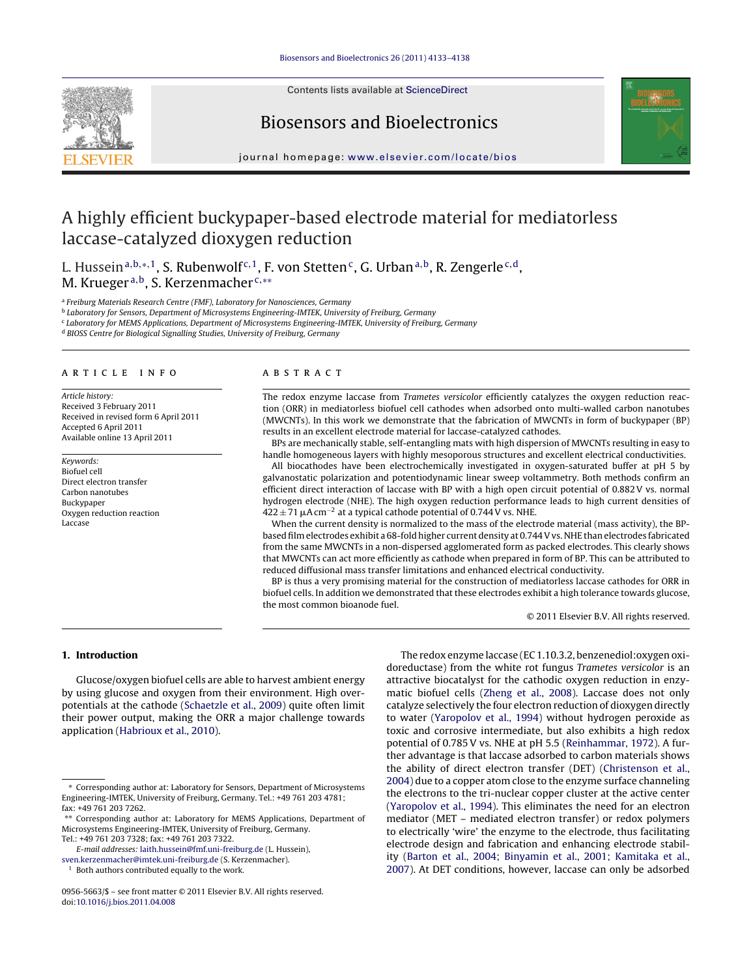

Contents lists available at [ScienceDirect](http://www.sciencedirect.com/science/journal/09565663)

## Biosensors and Bioelectronics



journal homepage: [www.elsevier.com/locate/bios](http://www.elsevier.com/locate/bios)

# A highly efficient buckypaper-based electrode material for mediatorless laccase-catalyzed dioxygen reduction

L. Hussein<sup>a,b,∗,1</sup>, S. Rubenwolf<sup>c,1</sup>, F. von Stetten<sup>c</sup>, G. Urban<sup>a,b</sup>, R. Zengerle<sup>c,d</sup>, M. Krueger<sup>a,b</sup>, S. Kerzenmacher<sup>c,\*\*</sup>

<sup>a</sup> Freiburg Materials Research Centre (FMF), Laboratory for Nanosciences, Germany

<sup>b</sup> Laboratory for Sensors, Department of Microsystems Engineering-IMTEK, University of Freiburg, Germany

<sup>c</sup> Laboratory for MEMS Applications, Department of Microsystems Engineering-IMTEK, University of Freiburg, Germany

<sup>d</sup> BIOSS Centre for Biological Signalling Studies, University of Freiburg, Germany

#### article info

Article history: Received 3 February 2011 Received in revised form 6 April 2011 Accepted 6 April 2011 Available online 13 April 2011

Keywords: Biofuel cell Direct electron transfer Carbon nanotubes Buckypaper Oxygen reduction reaction Laccase

#### **ABSTRACT**

The redox enzyme laccase from Trametes versicolor efficiently catalyzes the oxygen reduction reaction (ORR) in mediatorless biofuel cell cathodes when adsorbed onto multi-walled carbon nanotubes (MWCNTs). In this work we demonstrate that the fabrication of MWCNTs in form of buckypaper (BP) results in an excellent electrode material for laccase-catalyzed cathodes.

BPs are mechanically stable, self-entangling mats with high dispersion of MWCNTs resulting in easy to handle homogeneous layers with highly mesoporous structures and excellent electrical conductivities.

All biocathodes have been electrochemically investigated in oxygen-saturated buffer at pH 5 by galvanostatic polarization and potentiodynamic linear sweep voltammetry. Both methods confirm an efficient direct interaction of laccase with BP with a high open circuit potential of 0.882 V vs. normal hydrogen electrode (NHE). The high oxygen reduction performance leads to high current densities of  $422 \pm 71$   $\mu$ A cm<sup>-2</sup> at a typical cathode potential of 0.744 V vs. NHE.

When the current density is normalized to the mass of the electrode material (mass activity), the BPbased film electrodes exhibit a 68-fold higher current density at 0.744 V vs. NHE than electrodes fabricated from the same MWCNTs in a non-dispersed agglomerated form as packed electrodes. This clearly shows that MWCNTs can act more efficiently as cathode when prepared in form of BP. This can be attributed to reduced diffusional mass transfer limitations and enhanced electrical conductivity.

BP is thus a very promising material for the construction of mediatorless laccase cathodes for ORR in biofuel cells. In addition we demonstrated that these electrodes exhibit a high tolerance towards glucose, the most common bioanode fuel.

© 2011 Elsevier B.V. All rights reserved.

## **1. Introduction**

Glucose/oxygen biofuel cells are able to harvest ambient energy by using glucose and oxygen from their environment. High overpotentials at the cathode ([Schaetzle et al., 2009\)](#page-5-0) quite often limit their power output, making the ORR a major challenge towards application ([Habrioux et al., 2010\).](#page-5-0)

The redox enzyme laccase (EC 1.10.3.2, benzenediol:oxygen oxidoreductase) from the white rot fungus Trametes versicolor is an attractive biocatalyst for the cathodic oxygen reduction in enzymatic biofuel cells ([Zheng et al., 2008\).](#page-5-0) Laccase does not only catalyze selectively the four electron reduction of dioxygen directly to water [\(Yaropolov et al., 1994\)](#page-5-0) without hydrogen peroxide as toxic and corrosive intermediate, but also exhibits a high redox potential of 0.785 V vs. NHE at pH 5.5 [\(Reinhammar, 1972\).](#page-5-0) A further advantage is that laccase adsorbed to carbon materials shows the ability of direct electron transfer (DET) [\(Christenson et al.,](#page-5-0) [2004\)](#page-5-0) due to a copper atom close to the enzyme surface channeling the electrons to the tri-nuclear copper cluster at the active center [\(Yaropolov et al., 1994\).](#page-5-0) This eliminates the need for an electron mediator (MET – mediated electron transfer) or redox polymers to electrically 'wire' the enzyme to the electrode, thus facilitating electrode design and fabrication and enhancing electrode stability [\(Barton et al., 2004; Binyamin et al., 2001; Kamitaka et al.,](#page-5-0) [2007\).](#page-5-0) At DET conditions, however, laccase can only be adsorbed

<sup>∗</sup> Corresponding author at: Laboratory for Sensors, Department of Microsystems Engineering-IMTEK, University of Freiburg, Germany. Tel.: +49 761 203 4781; fax: +49 761 203 7262.

<sup>∗∗</sup> Corresponding author at: Laboratory for MEMS Applications, Department of Microsystems Engineering-IMTEK, University of Freiburg, Germany.

Tel.: +49 761 203 7328; fax: +49 761 203 7322. E-mail addresses: [laith.hussein@fmf.uni-freiburg.de](mailto:laith.hussein@fmf.uni-freiburg.de) (L. Hussein),

[sven.kerzenmacher@imtek.uni-freiburg.de](mailto:sven.kerzenmacher@imtek.uni-freiburg.de) (S. Kerzenmacher).

Both authors contributed equally to the work.

<sup>0956-5663/\$ –</sup> see front matter © 2011 Elsevier B.V. All rights reserved. doi:[10.1016/j.bios.2011.04.008](dx.doi.org/10.1016/j.bios.2011.04.008)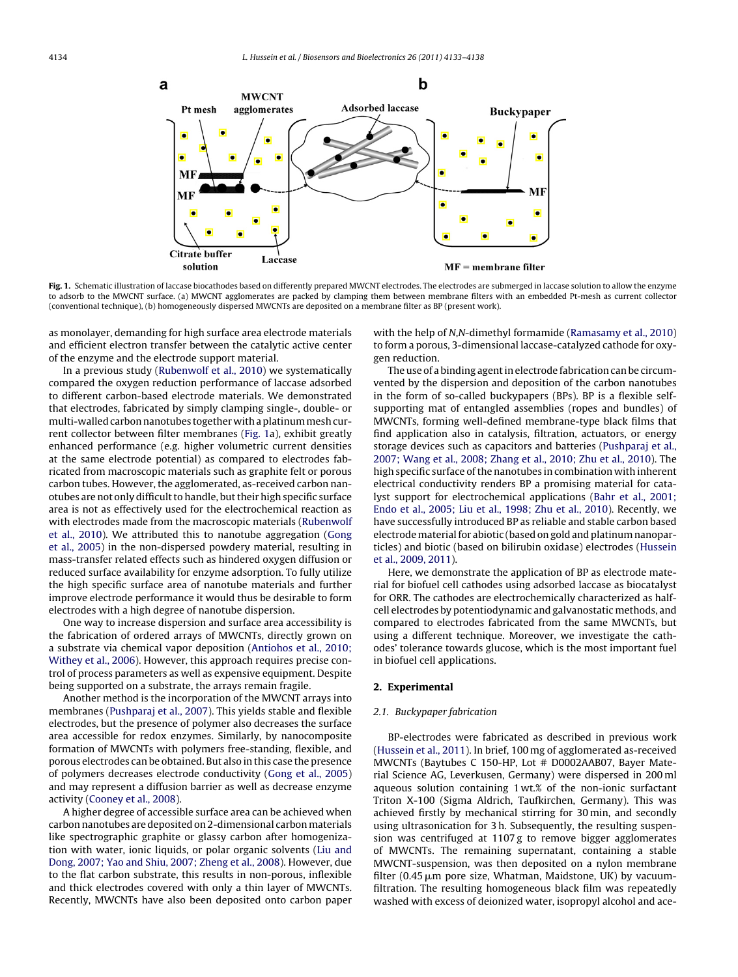<span id="page-1-0"></span>

Fig. 1. Schematic illustration of laccase biocathodes based on differently prepared MWCNT electrodes. The electrodes are submerged in laccase solution to allow the enzyme to adsorb to the MWCNT surface. (a) MWCNT agglomerates are packed by clamping them between membrane filters with an embedded Pt-mesh as current collector (conventional technique), (b) homogeneously dispersed MWCNTs are deposited on a membrane filter as BP (present work).

as monolayer, demanding for high surface area electrode materials and efficient electron transfer between the catalytic active center of the enzyme and the electrode support material.

In a previous study [\(Rubenwolf et al., 2010\)](#page-5-0) we systematically compared the oxygen reduction performance of laccase adsorbed to different carbon-based electrode materials. We demonstrated that electrodes, fabricated by simply clamping single-, double- or multi-walled carbon nanotubes together with a platinum mesh current collector between filter membranes (Fig. 1a), exhibit greatly enhanced performance (e.g. higher volumetric current densities at the same electrode potential) as compared to electrodes fabricated from macroscopic materials such as graphite felt or porous carbon tubes. However, the agglomerated, as-received carbon nanotubes are not only difficult to handle, but their high specific surface area is not as effectively used for the electrochemical reaction as with electrodes made from the macroscopic materials [\(Rubenwolf](#page-5-0) [et al., 2010\).](#page-5-0) We attributed this to nanotube aggregation [\(Gong](#page-5-0) [et al., 2005\)](#page-5-0) in the non-dispersed powdery material, resulting in mass-transfer related effects such as hindered oxygen diffusion or reduced surface availability for enzyme adsorption. To fully utilize the high specific surface area of nanotube materials and further improve electrode performance it would thus be desirable to form electrodes with a high degree of nanotube dispersion.

One way to increase dispersion and surface area accessibility is the fabrication of ordered arrays of MWCNTs, directly grown on a substrate via chemical vapor deposition [\(Antiohos et al., 2010;](#page-5-0) [Withey et al., 2006\).](#page-5-0) However, this approach requires precise control of process parameters as well as expensive equipment. Despite being supported on a substrate, the arrays remain fragile.

Another method is the incorporation of the MWCNT arrays into membranes [\(Pushparaj et al., 2007\).](#page-5-0) This yields stable and flexible electrodes, but the presence of polymer also decreases the surface area accessible for redox enzymes. Similarly, by nanocomposite formation of MWCNTs with polymers free-standing, flexible, and porous electrodes can be obtained. But also in this case the presence of polymers decreases electrode conductivity ([Gong et al., 2005\)](#page-5-0) and may represent a diffusion barrier as well as decrease enzyme activity ([Cooney et al., 2008\).](#page-5-0)

A higher degree of accessible surface area can be achieved when carbon nanotubes are deposited on 2-dimensional carbonmaterials like spectrographic graphite or glassy carbon after homogenization with water, ionic liquids, or polar organic solvents ([Liu and](#page-5-0) [Dong, 2007; Yao and Shiu, 2007; Zheng et al., 2008\).](#page-5-0) However, due to the flat carbon substrate, this results in non-porous, inflexible and thick electrodes covered with only a thin layer of MWCNTs. Recently, MWCNTs have also been deposited onto carbon paper with the help of N,N-dimethyl formamide ([Ramasamy et al., 2010\)](#page-5-0) to form a porous, 3-dimensional laccase-catalyzed cathode for oxygen reduction.

The use of a binding agent in electrode fabrication can be circumvented by the dispersion and deposition of the carbon nanotubes in the form of so-called buckypapers (BPs). BP is a flexible selfsupporting mat of entangled assemblies (ropes and bundles) of MWCNTs, forming well-defined membrane-type black films that find application also in catalysis, filtration, actuators, or energy storage devices such as capacitors and batteries ([Pushparaj et al.,](#page-5-0) [2007; Wang et al., 2008; Zhang et al., 2010; Zhu et al., 2010\).](#page-5-0) The high specific surface of the nanotubes in combination with inherent electrical conductivity renders BP a promising material for catalyst support for electrochemical applications [\(Bahr et al., 2001;](#page-5-0) [Endo et al., 2005; Liu et al., 1998; Zhu et al., 2010\).](#page-5-0) Recently, we have successfully introduced BP as reliable and stable carbon based electrodematerial for abiotic (based on gold and platinum nanoparticles) and biotic (based on bilirubin oxidase) electrodes ([Hussein](#page-5-0) [et al., 2009, 2011\).](#page-5-0)

Here, we demonstrate the application of BP as electrode material for biofuel cell cathodes using adsorbed laccase as biocatalyst for ORR. The cathodes are electrochemically characterized as halfcell electrodes by potentiodynamic and galvanostatic methods, and compared to electrodes fabricated from the same MWCNTs, but using a different technique. Moreover, we investigate the cathodes' tolerance towards glucose, which is the most important fuel in biofuel cell applications.

## **2. Experimental**

#### 2.1. Buckypaper fabrication

BP-electrodes were fabricated as described in previous work [\(Hussein et al., 2011\).](#page-5-0) In brief, 100 mg of agglomerated as-received MWCNTs (Baytubes C 150-HP, Lot # D0002AAB07, Bayer Material Science AG, Leverkusen, Germany) were dispersed in 200 ml aqueous solution containing 1 wt.% of the non-ionic surfactant Triton X-100 (Sigma Aldrich, Taufkirchen, Germany). This was achieved firstly by mechanical stirring for 30 min, and secondly using ultrasonication for 3 h. Subsequently, the resulting suspension was centrifuged at 1107 g to remove bigger agglomerates of MWCNTs. The remaining supernatant, containing a stable MWCNT-suspension, was then deposited on a nylon membrane filter (0.45 µm pore size, Whatman, Maidstone, UK) by vacuumfiltration. The resulting homogeneous black film was repeatedly washed with excess of deionized water, isopropyl alcohol and ace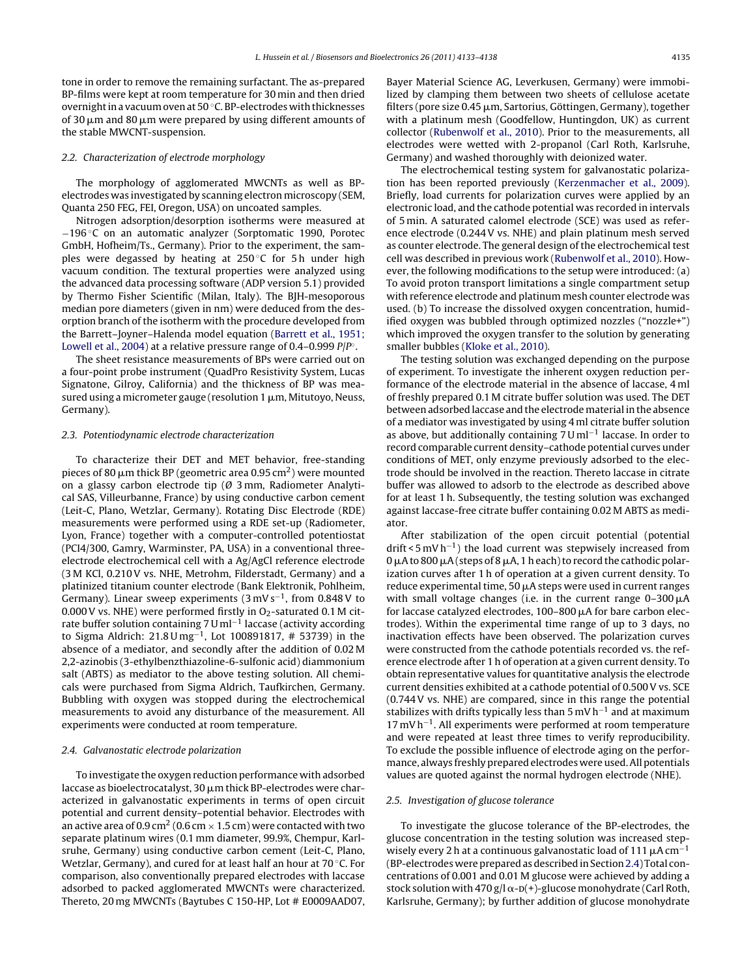tone in order to remove the remaining surfactant. The as-prepared BP-films were kept at room temperature for 30 min and then dried overnight in a vacuum oven at 50 ◦C. BP-electrodes with thicknesses of 30  $\rm \mu m$  and 80  $\rm \mu m$  were prepared by using different amounts of the stable MWCNT-suspension.

## 2.2. Characterization of electrode morphology

The morphology of agglomerated MWCNTs as well as BPelectrodes was investigated by scanning electron microscopy (SEM, Quanta 250 FEG, FEI, Oregon, USA) on uncoated samples.

Nitrogen adsorption/desorption isotherms were measured at −196 ◦C on an automatic analyzer (Sorptomatic 1990, Porotec GmbH, Hofheim/Ts., Germany). Prior to the experiment, the samples were degassed by heating at  $250^{\circ}$ C for 5 h under high vacuum condition. The textural properties were analyzed using the advanced data processing software (ADP version 5.1) provided by Thermo Fisher Scientific (Milan, Italy). The BJH-mesoporous median pore diameters (given in nm) were deduced from the desorption branch of the isotherm with the procedure developed from the Barrett–Joyner–Halenda model equation [\(Barrett et al., 1951;](#page-5-0) [Lowell et al., 2004\)](#page-5-0) at a relative pressure range of 0.4–0.999  $P/P^{\circ}$ .

The sheet resistance measurements of BPs were carried out on a four-point probe instrument (QuadPro Resistivity System, Lucas Signatone, Gilroy, California) and the thickness of BP was measured using a micrometer gauge (resolution 1  $\mu$ m, Mitutoyo, Neuss, Germany).

#### 2.3. Potentiodynamic electrode characterization

To characterize their DET and MET behavior, free-standing pieces of 80  $\mu$ m thick BP (geometric area 0.95 cm<sup>2</sup>) were mounted on a glassy carbon electrode tip (Ø 3 mm, Radiometer Analytical SAS, Villeurbanne, France) by using conductive carbon cement (Leit-C, Plano, Wetzlar, Germany). Rotating Disc Electrode (RDE) measurements were performed using a RDE set-up (Radiometer, Lyon, France) together with a computer-controlled potentiostat (PCI4/300, Gamry, Warminster, PA, USA) in a conventional threeelectrode electrochemical cell with a Ag/AgCl reference electrode (3 M KCl, 0.210 V vs. NHE, Metrohm, Filderstadt, Germany) and a platinized titanium counter electrode (Bank Elektronik, Pohlheim, Germany). Linear sweep experiments (3 mV s−1, from 0.848 V to 0.000 V vs. NHE) were performed firstly in  $O<sub>2</sub>$ -saturated 0.1 M citrate buffer solution containing 7 U ml−<sup>1</sup> laccase (activity according to Sigma Aldrich: 21.8 U mg−1, Lot 100891817, # 53739) in the absence of a mediator, and secondly after the addition of 0.02 M 2,2-azinobis (3-ethylbenzthiazoline-6-sulfonic acid) diammonium salt (ABTS) as mediator to the above testing solution. All chemicals were purchased from Sigma Aldrich, Taufkirchen, Germany. Bubbling with oxygen was stopped during the electrochemical measurements to avoid any disturbance of the measurement. All experiments were conducted at room temperature.

#### 2.4. Galvanostatic electrode polarization

To investigate the oxygen reduction performance with adsorbed laccase as bioelectrocatalyst, 30 µm thick BP-electrodes were characterized in galvanostatic experiments in terms of open circuit potential and current density–potential behavior. Electrodes with an active area of 0.9 cm<sup>2</sup> (0.6 cm  $\times$  1.5 cm) were contacted with two separate platinum wires (0.1 mm diameter, 99.9%, Chempur, Karlsruhe, Germany) using conductive carbon cement (Leit-C, Plano, Wetzlar, Germany), and cured for at least half an hour at 70 ◦C. For comparison, also conventionally prepared electrodes with laccase adsorbed to packed agglomerated MWCNTs were characterized. Thereto, 20 mg MWCNTs (Baytubes C 150-HP, Lot # E0009AAD07,

Bayer Material Science AG, Leverkusen, Germany) were immobilized by clamping them between two sheets of cellulose acetate filters (pore size 0.45  $\upmu$ m, Sartorius, Göttingen, Germany), together with a platinum mesh (Goodfellow, Huntingdon, UK) as current collector [\(Rubenwolf et al., 2010\).](#page-5-0) Prior to the measurements, all electrodes were wetted with 2-propanol (Carl Roth, Karlsruhe, Germany) and washed thoroughly with deionized water.

The electrochemical testing system for galvanostatic polarization has been reported previously ([Kerzenmacher et al., 2009\).](#page-5-0) Briefly, load currents for polarization curves were applied by an electronic load, and the cathode potential was recorded in intervals of 5 min. A saturated calomel electrode (SCE) was used as reference electrode (0.244 V vs. NHE) and plain platinum mesh served as counter electrode. The general design of the electrochemical test cell was described in previous work ([Rubenwolf et al., 2010\).](#page-5-0) However, the following modifications to the setup were introduced: (a) To avoid proton transport limitations a single compartment setup with reference electrode and platinum mesh counter electrode was used. (b) To increase the dissolved oxygen concentration, humidified oxygen was bubbled through optimized nozzles ("nozzle+") which improved the oxygen transfer to the solution by generating smaller bubbles ([Kloke et al., 2010\).](#page-5-0)

The testing solution was exchanged depending on the purpose of experiment. To investigate the inherent oxygen reduction performance of the electrode material in the absence of laccase, 4 ml of freshly prepared 0.1 M citrate buffer solution was used. The DET between adsorbed laccase and the electrodematerial in the absence of a mediator was investigated by using 4 ml citrate buffer solution as above, but additionally containing  $7 \text{U} \text{m}^{-1}$  laccase. In order to record comparable current density–cathode potential curves under conditions of MET, only enzyme previously adsorbed to the electrode should be involved in the reaction. Thereto laccase in citrate buffer was allowed to adsorb to the electrode as described above for at least 1 h. Subsequently, the testing solution was exchanged against laccase-free citrate buffer containing 0.02 M ABTS as mediator.

After stabilization of the open circuit potential (potential  $drift$  < 5 mV h<sup>-1</sup>) the load current was stepwisely increased from 0  $\mu$ A to 800  $\mu$ A (steps of 8  $\mu$ A, 1 h each) to record the cathodic polarization curves after 1 h of operation at a given current density. To reduce experimental time, 50 µA steps were used in current ranges with small voltage changes (i.e. in the current range  $0-300\,\mu\text{A}$ for laccase catalyzed electrodes,  $100-800\,\mu$ A for bare carbon electrodes). Within the experimental time range of up to 3 days, no inactivation effects have been observed. The polarization curves were constructed from the cathode potentials recorded vs. the reference electrode after 1 h of operation at a given current density. To obtain representative values for quantitative analysis the electrode current densities exhibited at a cathode potential of 0.500 V vs. SCE (0.744 V vs. NHE) are compared, since in this range the potential stabilizes with drifts typically less than 5 mV h<sup>-1</sup> and at maximum 17 mV h−1. All experiments were performed at room temperature and were repeated at least three times to verify reproducibility. To exclude the possible influence of electrode aging on the performance, always freshly prepared electrodes were used. All potentials values are quoted against the normal hydrogen electrode (NHE).

#### 2.5. Investigation of glucose tolerance

To investigate the glucose tolerance of the BP-electrodes, the glucose concentration in the testing solution was increased stepwisely every 2 h at a continuous galvanostatic load of 111  $\mu$ A cm<sup>-1</sup> (BP-electrodes were prepared as described in Section2.4) Total concentrations of 0.001 and 0.01 M glucose were achieved by adding a stock solution with 470 g/l  $\alpha$ -D(+)-glucose monohydrate (Carl Roth, Karlsruhe, Germany); by further addition of glucose monohydrate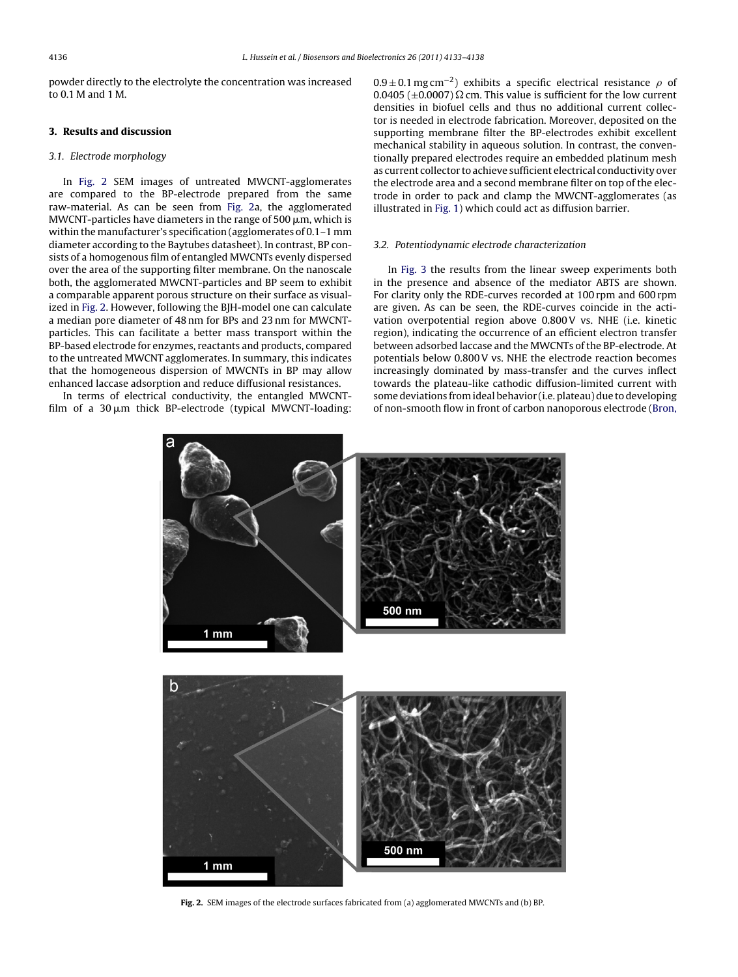powder directly to the electrolyte the concentration was increased to 0.1 M and 1 M.

## **3. Results and discussion**

#### 3.1. Electrode morphology

In Fig. 2 SEM images of untreated MWCNT-agglomerates are compared to the BP-electrode prepared from the same raw-material. As can be seen from Fig. 2a, the agglomerated MWCNT-particles have diameters in the range of 500  $\mu$ m, which is within the manufacturer's specification (agglomerates of 0.1–1 mm diameter according to the Baytubes datasheet). In contrast, BP consists of a homogenous film of entangled MWCNTs evenly dispersed over the area of the supporting filter membrane. On the nanoscale both, the agglomerated MWCNT-particles and BP seem to exhibit a comparable apparent porous structure on their surface as visualized in Fig. 2. However, following the BJH-model one can calculate a median pore diameter of 48 nm for BPs and 23 nm for MWCNTparticles. This can facilitate a better mass transport within the BP-based electrode for enzymes, reactants and products, compared to the untreated MWCNT agglomerates. In summary, this indicates that the homogeneous dispersion of MWCNTs in BP may allow enhanced laccase adsorption and reduce diffusional resistances.

In terms of electrical conductivity, the entangled MWCNTfilm of a 30 µm thick BP-electrode (typical MWCNT-loading:

 $0.9 \pm 0.1$  mg cm<sup>-2</sup>) exhibits a specific electrical resistance  $\rho$  of 0.0405 ( $\pm$ 0.0007)  $\Omega$  cm. This value is sufficient for the low current densities in biofuel cells and thus no additional current collector is needed in electrode fabrication. Moreover, deposited on the supporting membrane filter the BP-electrodes exhibit excellent mechanical stability in aqueous solution. In contrast, the conventionally prepared electrodes require an embedded platinum mesh as current collector to achieve sufficient electrical conductivity over the electrode area and a second membrane filter on top of the electrode in order to pack and clamp the MWCNT-agglomerates (as illustrated in [Fig. 1\)](#page-1-0) which could act as diffusion barrier.

#### 3.2. Potentiodynamic electrode characterization

In [Fig. 3](#page-4-0) the results from the linear sweep experiments both in the presence and absence of the mediator ABTS are shown. For clarity only the RDE-curves recorded at 100 rpm and 600 rpm are given. As can be seen, the RDE-curves coincide in the activation overpotential region above 0.800V vs. NHE (i.e. kinetic region), indicating the occurrence of an efficient electron transfer between adsorbed laccase and the MWCNTs of the BP-electrode. At potentials below 0.800 V vs. NHE the electrode reaction becomes increasingly dominated by mass-transfer and the curves inflect towards the plateau-like cathodic diffusion-limited current with some deviations from ideal behavior (i.e. plateau) due to developing of non-smooth flow in front of carbon nanoporous electrode ([Bron,](#page-5-0)



**Fig. 2.** SEM images of the electrode surfaces fabricated from (a) agglomerated MWCNTs and (b) BP.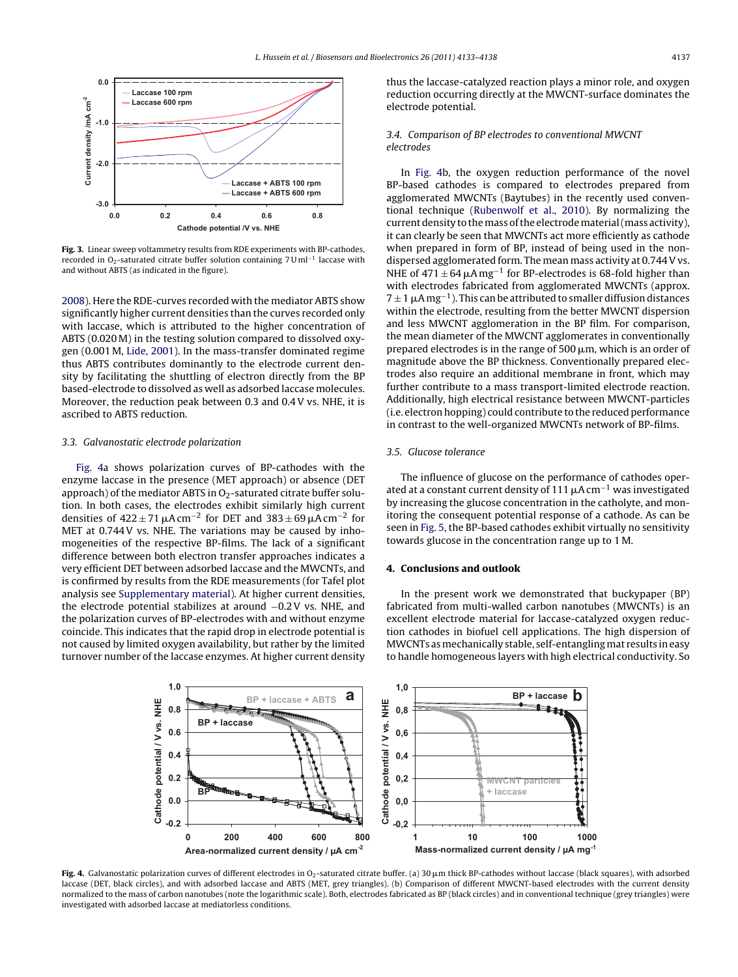<span id="page-4-0"></span>

**Fig. 3.** Linear sweep voltammetry results from RDE experiments with BP-cathodes, recorded in O<sub>2</sub>-saturated citrate buffer solution containing 7 U ml<sup>-1</sup> laccase with and without ABTS (as indicated in the figure).

[2008\).](#page-5-0) Here the RDE-curves recorded with the mediator ABTS show significantly higher current densities than the curves recorded only with laccase, which is attributed to the higher concentration of ABTS (0.020 M) in the testing solution compared to dissolved oxygen (0.001 M, [Lide, 2001\).](#page-5-0) In the mass-transfer dominated regime thus ABTS contributes dominantly to the electrode current density by facilitating the shuttling of electron directly from the BP based-electrode to dissolved as well as adsorbed laccase molecules. Moreover, the reduction peak between 0.3 and 0.4 V vs. NHE, it is ascribed to ABTS reduction.

#### 3.3. Galvanostatic electrode polarization

Fig. 4a shows polarization curves of BP-cathodes with the enzyme laccase in the presence (MET approach) or absence (DET approach) of the mediator ABTS in  $O<sub>2</sub>$ -saturated citrate buffer solution. In both cases, the electrodes exhibit similarly high current densities of  $422 \pm 71 \,\mu A \,\text{cm}^{-2}$  for DET and  $383 \pm 69 \,\mu A \,\text{cm}^{-2}$  for MET at 0.744 V vs. NHE. The variations may be caused by inhomogeneities of the respective BP-films. The lack of a significant difference between both electron transfer approaches indicates a very efficient DET between adsorbed laccase and the MWCNTs, and is confirmed by results from the RDE measurements (for Tafel plot analysis see [Supplementary material\).](#page-5-0) At higher current densities, the electrode potential stabilizes at around −0.2 V vs. NHE, and the polarization curves of BP-electrodes with and without enzyme coincide. This indicates that the rapid drop in electrode potential is not caused by limited oxygen availability, but rather by the limited turnover number of the laccase enzymes. At higher current density

thus the laccase-catalyzed reaction plays a minor role, and oxygen reduction occurring directly at the MWCNT-surface dominates the electrode potential.

## 3.4. Comparison of BP electrodes to conventional MWCNT electrodes

In Fig. 4b, the oxygen reduction performance of the novel BP-based cathodes is compared to electrodes prepared from agglomerated MWCNTs (Baytubes) in the recently used conventional technique ([Rubenwolf et al., 2010\).](#page-5-0) By normalizing the current density to themass of the electrodematerial (mass activity), it can clearly be seen that MWCNTs act more efficiently as cathode when prepared in form of BP, instead of being used in the nondispersed agglomerated form. The mean mass activity at 0.744 V vs. NHE of  $471 \pm 64 \,\mu A \,\text{mg}^{-1}$  for BP-electrodes is 68-fold higher than with electrodes fabricated from agglomerated MWCNTs (approx.  $7 \pm 1$   $\mu$ A mg<sup>-1</sup>). This can be attributed to smaller diffusion distances within the electrode, resulting from the better MWCNT dispersion and less MWCNT agglomeration in the BP film. For comparison, the mean diameter of the MWCNT agglomerates in conventionally prepared electrodes is in the range of 500  $\mu$ m, which is an order of magnitude above the BP thickness. Conventionally prepared electrodes also require an additional membrane in front, which may further contribute to a mass transport-limited electrode reaction. Additionally, high electrical resistance between MWCNT-particles (i.e. electron hopping) could contribute to the reduced performance in contrast to the well-organized MWCNTs network of BP-films.

#### 3.5. Glucose tolerance

The influence of glucose on the performance of cathodes operated at a constant current density of 111  $\mu$ A cm<sup>-1</sup> was investigated by increasing the glucose concentration in the catholyte, and monitoring the consequent potential response of a cathode. As can be seen in [Fig. 5, t](#page-5-0)he BP-based cathodes exhibit virtually no sensitivity towards glucose in the concentration range up to 1 M.

#### **4. Conclusions and outlook**

In the present work we demonstrated that buckypaper (BP) fabricated from multi-walled carbon nanotubes (MWCNTs) is an excellent electrode material for laccase-catalyzed oxygen reduction cathodes in biofuel cell applications. The high dispersion of MWCNTs as mechanically stable, self-entangling mat results in easy to handle homogeneous layers with high electrical conductivity. So



 ${\sf Fig. 4.}$  Galvanostatic polarization curves of different electrodes in O2-saturated citrate buffer. (a) 30  $\mu$ m thick BP-cathodes without laccase (black squares), with adsorbed laccase (DET, black circles), and with adsorbed laccase and ABTS (MET, grey triangles). (b) Comparison of different MWCNT-based electrodes with the current density normalized to the mass of carbon nanotubes (note the logarithmic scale). Both, electrodes fabricated as BP (black circles) and in conventional technique (grey triangles) were investigated with adsorbed laccase at mediatorless conditions.